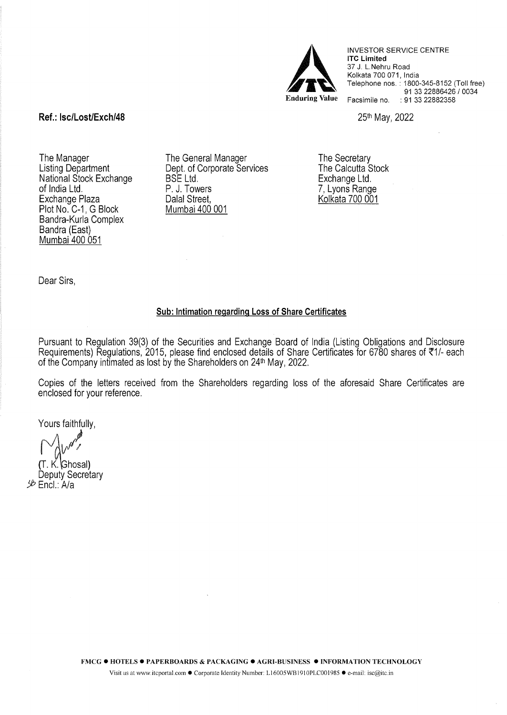

INVESTOR SERVICE CENTRE lTC Limited 37 J. L.Nehru Road Kolkata 700 071, India Telephone nos.: 1800-345-8152 (Toll free) 91 33 22886426 / 0034 Facsimile no. : 91 33 22882358

25th May, 2022

Ref.: lsc/Lost/Exch/48

The Manager Listing Department National Stock Exchange of India Ltd. Exchange Plaza Plot No. C-1, G Block Bandra-Kurla Complex Bandra (East) Mumbai 400 051

The General Manager Dept. of Corporate Services BSE Ltd. P. J. Towers Dalal Street, Mumbai 400 001

The Secretary The Calcutta Stock Exchange Ltd. 7, Lyons Range Kolkata 700 001

Dear Sirs,

## Sub: Intimation regarding Loss of Share Certificates

Pursuant to Regulation 39(3) of the Securities and Exchange Board of India (Listing Obligations and Disclosure Requirements) Regulations, 2015, please find enclosed details of Share Certificates for 6780 shares of  $\overline{5}1/-$  each of the Company intimated as lost by the Shareholders on 24<sup>th</sup> May, 2022.

Copies of the letters received from the Shareholders regarding loss of the aforesaid Share Certificates are enclosed for your reference.

Yours faithfully,

(Ghosal Deputy Secretary *!J!J* Encl.: Ala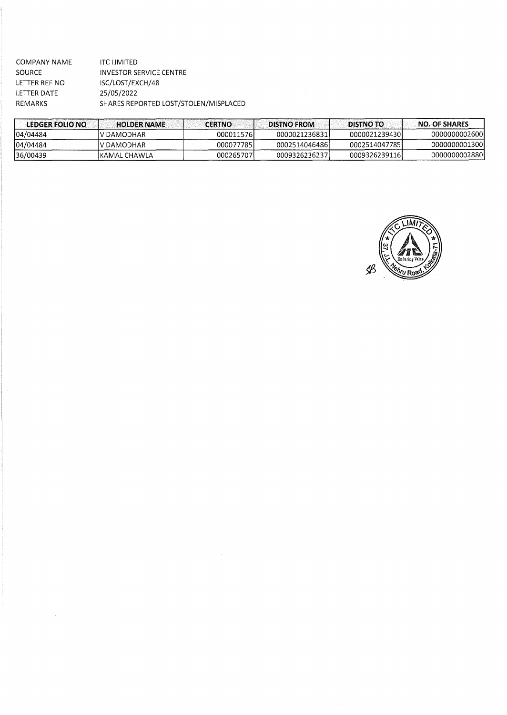| COMPANY NAME  | <b>ITC LIMITED</b>                    |
|---------------|---------------------------------------|
| <b>SOURCE</b> | INVESTOR SERVICE CENTRE               |
| LETTER REF NO | ISC/LOST/EXCH/48                      |
| LETTER DATE   | 25/05/2022                            |
| REMARKS       | SHARES REPORTED LOST/STOLEN/MISPLACED |
|               |                                       |

 $\hat{\mathcal{A}}$ 

 $\label{eq:2.1} \frac{1}{\sqrt{2\pi}}\int_{\mathbb{R}^3}\frac{1}{\sqrt{2\pi}}\left(\frac{1}{\sqrt{2\pi}}\right)^2\frac{1}{\sqrt{2\pi}}\frac{1}{\sqrt{2\pi}}\int_{\mathbb{R}^3}\frac{1}{\sqrt{2\pi}}\frac{1}{\sqrt{2\pi}}\frac{1}{\sqrt{2\pi}}\frac{1}{\sqrt{2\pi}}\frac{1}{\sqrt{2\pi}}\frac{1}{\sqrt{2\pi}}\frac{1}{\sqrt{2\pi}}\frac{1}{\sqrt{2\pi}}\frac{1}{\sqrt{2\pi}}\frac{1}{\sqrt{2\pi}}\frac{$ 

|                                            |                                      | <b>NO. OF SHARES</b>                             |
|--------------------------------------------|--------------------------------------|--------------------------------------------------|
|                                            | 00000212394301                       | 0000000002600                                    |
|                                            | 0002514047785                        | 0000000001300                                    |
|                                            | 0009326239116                        | 0000000002880                                    |
| IV DAMODHAR<br>V DAMODHAR<br>IKAMAL CHAWLA | 000011576<br>000077785<br>000265707L | 0000021236831<br>00025140464861<br>0009326236237 |

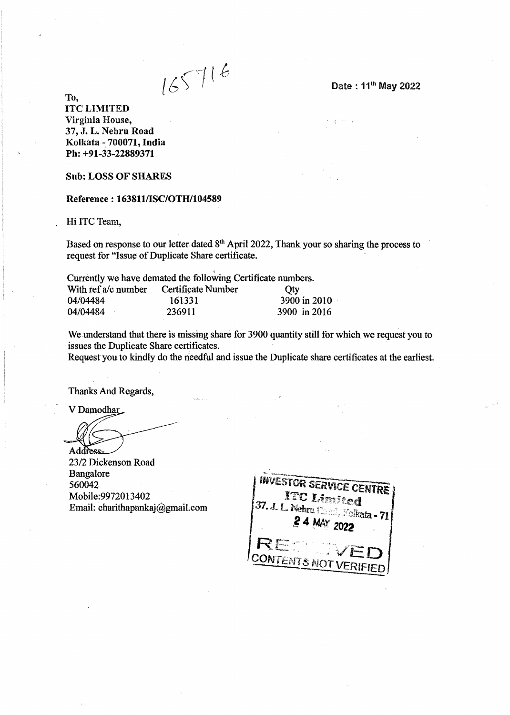$165716$ 

To,

lTC LIMITED Virginia House, 37, J. L. Nehru Road Kolkata- 700071, India Ph: +91-33-22889371

Sub: LOSS OF SHARES

## Reference: 163811/ISC/OTH/104589

Hi ITC Team,

Based on response to our letter dated  $8<sup>th</sup>$  April 2022, Thank your so sharing the process to request for "Issue of Duplicate Share certificate.

' Currently we have demated the following Certificate numbers.

| With ref a/c number | Certificate Number | Oty          |
|---------------------|--------------------|--------------|
| 04/04484            | 161331             | 3900 in 2010 |
| 04/04484            | .236911            | 3900 in 2016 |

We understand that there is missing share for 3900 quantity still for which we request you to issues the Duplicate Share certificates.

Request you to kindly do the needful and issue the Duplicate share certificates at the earliest.

Thanks And Regards,

V Damodhar

Address

23/2 Dickenson Road Bangalore 560042 Mobile:9972013402 Email: charithapankaj@gmail.com

**INVESTOR SER** CENTRE **ITO Limited** 37. J. L. Nehru Harriche de 2008<br>2 A MAY de 2018 - 71  $24$  MAY **CONTENTS NOT** VERIFIED

Date: 11th May 2022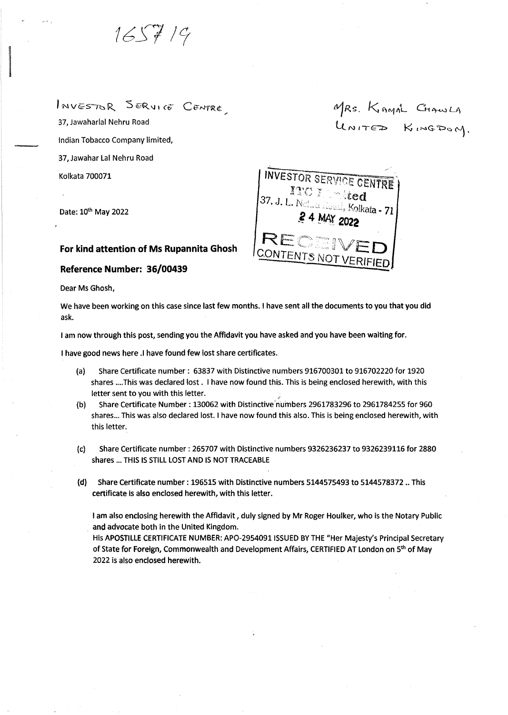$1657/9$ 

INVESTOR SERVICE CENTRE

37, Jawaharlal Nehru Road Indian Tobacco Company limited, 37, Jawahar Lal Nehru Road Kolkata 700071

Date: 10<sup>th</sup> May 2022

I

## **For kind attention of Ms Rupannita Ghosh**

## **Reference Number: · 36/00439**

Dear Ms Ghosh,

We have been working on this case since last few months. I have sent all the documents to you that you did ask.

1 am now through this post, sending you the Affidavit you have asked and you have been waiting for.

1 have good news here .I have found few lost share certificates.

- (a) Share Certificate number : 63837 with Distinctive numbers 916700301 to 916702220 for 1920 shares .... This was declared lost. I have now found this. This is being enclosed herewith, with this letter sent to you with this letter. .
- (b) Share Certificate Number: 130062 with Distinctive numbers 2961783296 to 2961784255 for 960 shares... This was also declared lost. I have now found this also. This is being enclosed herewith, with this letter.
- (c) Share Certificate number : 265707 with Distinctive numbers 9326236237 to 9326239116 for 2880 shares ... THIS IS STILL LOST AND IS NOT TRACEABLE
- (d) Share Certificate number : 196515 with Distinctive numbers 5144575493 to 5144578372 .. This certificate is also enclosed herewith, with this letter.

I am also enclosing herewith the Affidavit, duly signed by Mr Roger Houlker, who is the Notary Public and advocate both in the United Kingdom.

His APOSTILLE CERTIFICATE NUMBER: AP0-29540911SSUED BY THE "Her Majesty's Principal Secretary of State for Foreign, Commonwealth and Development Affairs, CERTIFIED AT London on 5<sup>th</sup> of May 2022 is also enclosed herewith.

MRS. KAMAL CHAWLA